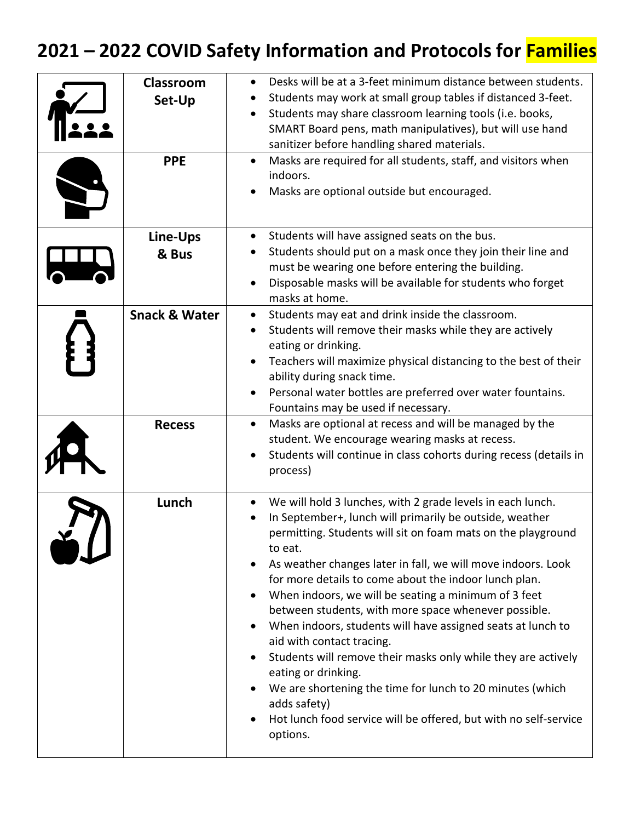## **2021 – 2022 COVID Safety Information and Protocols for Families**

| Classroom<br>Set-Up<br><b>PPE</b> | Desks will be at a 3-feet minimum distance between students.<br>Students may work at small group tables if distanced 3-feet.<br>Students may share classroom learning tools (i.e. books,<br>SMART Board pens, math manipulatives), but will use hand<br>sanitizer before handling shared materials.<br>Masks are required for all students, staff, and visitors when<br>$\bullet$<br>indoors.<br>Masks are optional outside but encouraged.                                                                                                                                                                                                                                                                                                                                                |
|-----------------------------------|--------------------------------------------------------------------------------------------------------------------------------------------------------------------------------------------------------------------------------------------------------------------------------------------------------------------------------------------------------------------------------------------------------------------------------------------------------------------------------------------------------------------------------------------------------------------------------------------------------------------------------------------------------------------------------------------------------------------------------------------------------------------------------------------|
| Line-Ups<br>& Bus                 | Students will have assigned seats on the bus.<br>$\bullet$<br>Students should put on a mask once they join their line and<br>must be wearing one before entering the building.<br>Disposable masks will be available for students who forget<br>masks at home.                                                                                                                                                                                                                                                                                                                                                                                                                                                                                                                             |
| <b>Snack &amp; Water</b>          | Students may eat and drink inside the classroom.<br>Students will remove their masks while they are actively<br>eating or drinking.<br>Teachers will maximize physical distancing to the best of their<br>ability during snack time.<br>Personal water bottles are preferred over water fountains.<br>Fountains may be used if necessary.                                                                                                                                                                                                                                                                                                                                                                                                                                                  |
| <b>Recess</b>                     | Masks are optional at recess and will be managed by the<br>student. We encourage wearing masks at recess.<br>Students will continue in class cohorts during recess (details in<br>process)                                                                                                                                                                                                                                                                                                                                                                                                                                                                                                                                                                                                 |
| Lunch                             | We will hold 3 lunches, with 2 grade levels in each lunch.<br>In September+, lunch will primarily be outside, weather<br>permitting. Students will sit on foam mats on the playground<br>to eat.<br>As weather changes later in fall, we will move indoors. Look<br>for more details to come about the indoor lunch plan.<br>When indoors, we will be seating a minimum of 3 feet<br>between students, with more space whenever possible.<br>When indoors, students will have assigned seats at lunch to<br>aid with contact tracing.<br>Students will remove their masks only while they are actively<br>eating or drinking.<br>We are shortening the time for lunch to 20 minutes (which<br>adds safety)<br>Hot lunch food service will be offered, but with no self-service<br>options. |